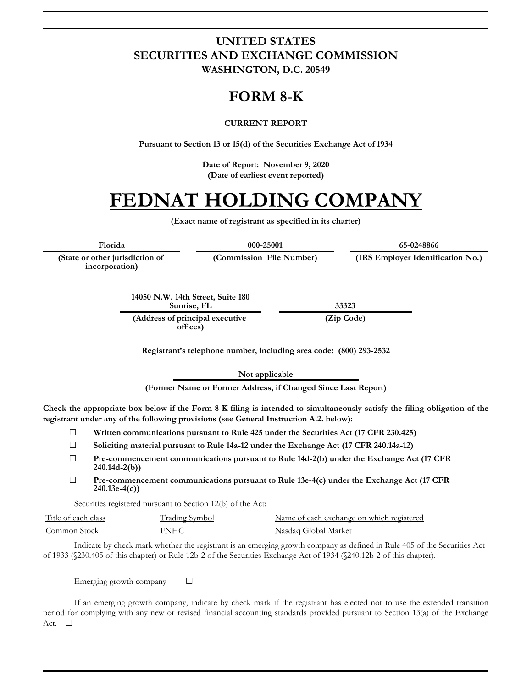#### **UNITED STATES SECURITIES AND EXCHANGE COMMISSION WASHINGTON, D.C. 20549**

#### **FORM 8-K**

#### **CURRENT REPORT**

**Pursuant to Section 13 or 15(d) of the Securities Exchange Act of 1934**

**Date of Report: November 9, 2020 (Date of earliest event reported)**

#### **FEDNAT HOLDING COMPANY**

**(Exact name of registrant as specified in its charter)**

**Florida 000-25001 65-0248866**

**(State or other jurisdiction of incorporation)**

**(Commission File Number) (IRS Employer Identification No.)**

**14050 N.W. 14th Street, Suite 180 Sunrise, FL 33323**

**(Address of principal executive offices)**

**(Zip Code)**

**Registrant's telephone number, including area code: (800) 293-2532**

**Not applicable**

**(Former Name or Former Address, if Changed Since Last Report)**

**Check the appropriate box below if the Form 8-K filing is intended to simultaneously satisfy the filing obligation of the registrant under any of the following provisions (see General Instruction A.2. below):**

☐ **Written communications pursuant to Rule 425 under the Securities Act (17 CFR 230.425)**

☐ **Soliciting material pursuant to Rule 14a-12 under the Exchange Act (17 CFR 240.14a-12)**

☐ **Pre-commencement communications pursuant to Rule 14d-2(b) under the Exchange Act (17 CFR 240.14d-2(b))**

☐ **Pre-commencement communications pursuant to Rule 13e-4(c) under the Exchange Act (17 CFR 240.13e-4(c))**

Securities registered pursuant to Section 12(b) of the Act:

| Title of each class | <b>Trading Symbol</b> | Name of each exchange on which registered |
|---------------------|-----------------------|-------------------------------------------|
| Common Stock        | <b>FNHC</b>           | Nasdaq Global Market                      |

Indicate by check mark whether the registrant is an emerging growth company as defined in Rule 405 of the Securities Act of 1933 (§230.405 of this chapter) or Rule 12b-2 of the Securities Exchange Act of 1934 (§240.12b-2 of this chapter).

Emerging growth company  $\Box$ 

If an emerging growth company, indicate by check mark if the registrant has elected not to use the extended transition period for complying with any new or revised financial accounting standards provided pursuant to Section 13(a) of the Exchange Act.  $\Box$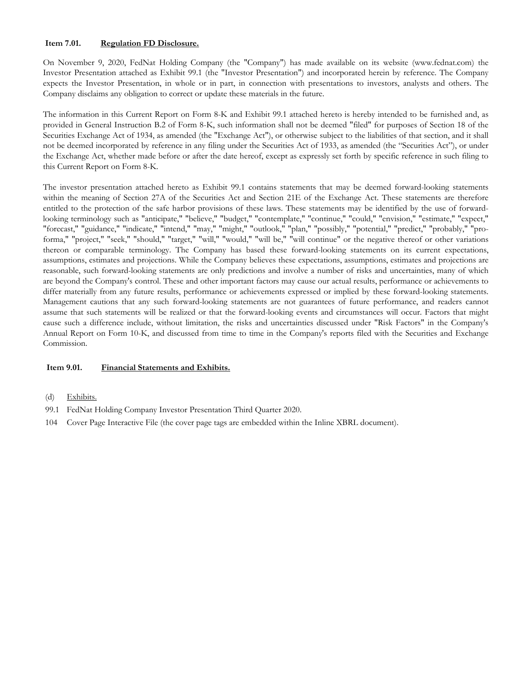#### **Item 7.01. Regulation FD Disclosure.**

On November 9, 2020, FedNat Holding Company (the "Company") has made available on its website (www.fednat.com) the Investor Presentation attached as Exhibit 99.1 (the "Investor Presentation") and incorporated herein by reference. The Company expects the Investor Presentation, in whole or in part, in connection with presentations to investors, analysts and others. The Company disclaims any obligation to correct or update these materials in the future.

The information in this Current Report on Form 8-K and Exhibit 99.1 attached hereto is hereby intended to be furnished and, as provided in General Instruction B.2 of Form 8-K, such information shall not be deemed "filed" for purposes of Section 18 of the Securities Exchange Act of 1934, as amended (the "Exchange Act"), or otherwise subject to the liabilities of that section, and it shall not be deemed incorporated by reference in any filing under the Securities Act of 1933, as amended (the "Securities Act"), or under the Exchange Act, whether made before or after the date hereof, except as expressly set forth by specific reference in such filing to this Current Report on Form 8-K.

The investor presentation attached hereto as Exhibit 99.1 contains statements that may be deemed forward-looking statements within the meaning of Section 27A of the Securities Act and Section 21E of the Exchange Act. These statements are therefore entitled to the protection of the safe harbor provisions of these laws. These statements may be identified by the use of forwardlooking terminology such as "anticipate," "believe," "budget," "contemplate," "continue," "could," "envision," "estimate," "expect," "forecast," "guidance," "indicate," "intend," "may," "might," "outlook," "plan," "possibly," "potential," "predict," "probably," "proforma," "project," "seek," "should," "target," "will," "would," "will be," "will continue" or the negative thereof or other variations thereon or comparable terminology. The Company has based these forward-looking statements on its current expectations, assumptions, estimates and projections. While the Company believes these expectations, assumptions, estimates and projections are reasonable, such forward-looking statements are only predictions and involve a number of risks and uncertainties, many of which are beyond the Company's control. These and other important factors may cause our actual results, performance or achievements to differ materially from any future results, performance or achievements expressed or implied by these forward-looking statements. Management cautions that any such forward-looking statements are not guarantees of future performance, and readers cannot assume that such statements will be realized or that the forward-looking events and circumstances will occur. Factors that might cause such a difference include, without limitation, the risks and uncertainties discussed under "Risk Factors" in the Company's Annual Report on Form 10-K, and discussed from time to time in the Company's reports filed with the Securities and Exchange Commission.

#### **Item 9.01. Financial Statements and Exhibits.**

- (d) Exhibits.
- 99.1 [FedNat Holding Company Investor Presentation Third Quarter 2020.](q320investordeckfinal.htm)
- 104 Cover Page Interactive File (the cover page tags are embedded within the Inline XBRL document).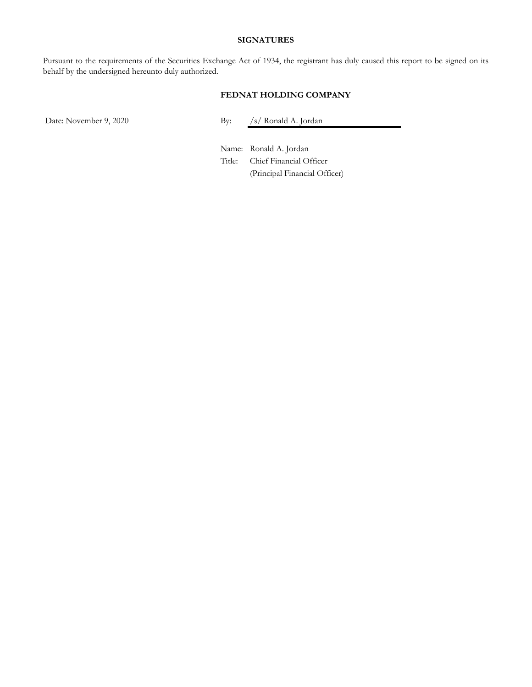#### **SIGNATURES**

Pursuant to the requirements of the Securities Exchange Act of 1934, the registrant has duly caused this report to be signed on its behalf by the undersigned hereunto duly authorized.

#### **FEDNAT HOLDING COMPANY**

Date: November 9, 2020 By: /s/ Ronald A. Jordan

Name: Ronald A. Jordan Title: Chief Financial Officer (Principal Financial Officer)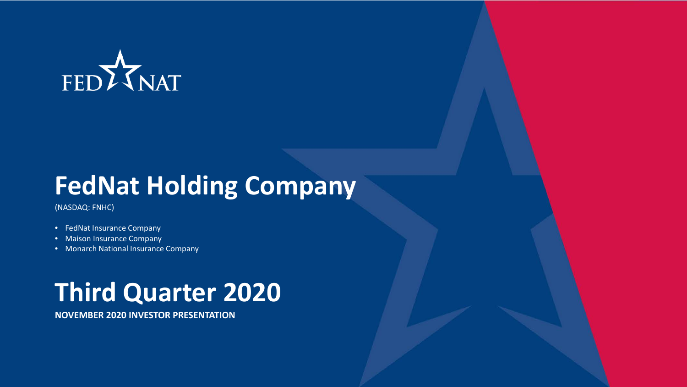# FEDZJNAT

# **FedNat Holding Company**

(NASDAQ: FNHC)

- FedNat Insurance Company
- Maison Insurance Company
- Monarch National Insurance Company

# **Third Quarter 2020**

**NOVEMBER 2020 INVESTOR PRESENTATION**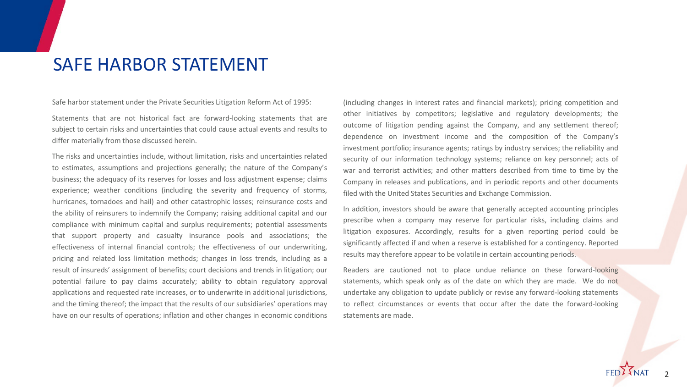### SAFE HARBOR STATEMENT

Safe harbor statement under the Private Securities Litigation Reform Act of 1995:

Statements that are not historical fact are forward-looking statements that are subject to certain risks and uncertainties that could cause actual events and results to differ materially from those discussed herein.

The risks and uncertainties include, without limitation, risks and uncertainties related to estimates, assumptions and projections generally; the nature of the Company's business; the adequacy of its reserves for losses and loss adjustment expense; claims experience; weather conditions (including the severity and frequency of storms, hurricanes, tornadoes and hail) and other catastrophic losses; reinsurance costs and the ability of reinsurers to indemnify the Company; raising additional capital and our compliance with minimum capital and surplus requirements; potential assessments that support property and casualty insurance pools and associations; the effectiveness of internal financial controls; the effectiveness of our underwriting, pricing and related loss limitation methods; changes in loss trends, including as a result of insureds' assignment of benefits; court decisions and trends in litigation; our potential failure to pay claims accurately; ability to obtain regulatory approval applications and requested rate increases, or to underwrite in additional jurisdictions, and the timing thereof; the impact that the results of our subsidiaries' operations may have on our results of operations; inflation and other changes in economic conditions

(including changes in interest rates and financial markets); pricing competition and other initiatives by competitors; legislative and regulatory developments; the outcome of litigation pending against the Company, and any settlement thereof; dependence on investment income and the composition of the Company's investment portfolio; insurance agents; ratings by industry services; the reliability and security of our information technology systems; reliance on key personnel; acts of war and terrorist activities; and other matters described from time to time by the Company in releases and publications, and in periodic reports and other documents filed with the United States Securities and Exchange Commission.

In addition, investors should be aware that generally accepted accounting principles prescribe when a company may reserve for particular risks, including claims and litigation exposures. Accordingly, results for a given reporting period could be significantly affected if and when a reserve is established for a contingency. Reported results may therefore appear to be volatile in certain accounting periods.

Readers are cautioned not to place undue reliance on these forward-looking statements, which speak only as of the date on which they are made. We do not undertake any obligation to update publicly or revise any forward-looking statements to reflect circumstances or events that occur after the date the forward-looking statements are made.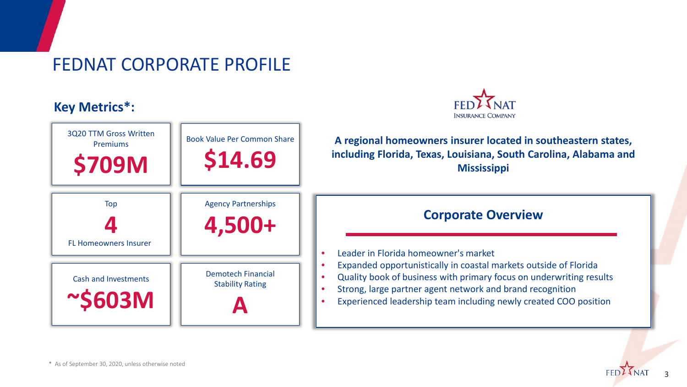### FEDNAT CORPORATE PROFILE

#### **Key Metrics\*:**



| 3Q20 TTM Gross Written<br><b>Premiums</b><br><b>\$709M</b> | <b>Book Value Per Common Share</b><br>\$14.69        | A regional homeowners insurer located in southeastern states,<br>including Florida, Texas, Louisiana, South Carolina, Alabama and<br><b>Mississippi</b>                                                                                                                                                          |  |  |
|------------------------------------------------------------|------------------------------------------------------|------------------------------------------------------------------------------------------------------------------------------------------------------------------------------------------------------------------------------------------------------------------------------------------------------------------|--|--|
| Top<br><b>FL Homeowners Insurer</b>                        | <b>Agency Partnerships</b><br>4,500+                 | <b>Corporate Overview</b>                                                                                                                                                                                                                                                                                        |  |  |
| <b>Cash and Investments</b><br>$\sim$ \$603M               | <b>Demotech Financial</b><br><b>Stability Rating</b> | Leader in Florida homeowner's market<br>Expanded opportunistically in coastal markets outside of Florida<br>Quality book of business with primary focus on underwriting results<br>Strong, large partner agent network and brand recognition<br>Experienced leadership team including newly created COO position |  |  |

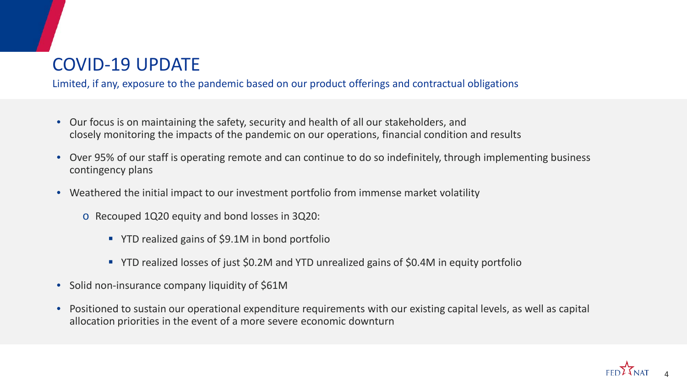### COVID-19 UPDATE

Limited, if any, exposure to the pandemic based on our product offerings and contractual obligations

- Our focus is on maintaining the safety, security and health of all our stakeholders, and closely monitoring the impacts of the pandemic on our operations, financial condition and results
- Over 95% of our staff is operating remote and can continue to do so indefinitely, through implementing business contingency plans
- Weathered the initial impact to our investment portfolio from immense market volatility
	- o Recouped 1Q20 equity and bond losses in 3Q20:
		- YTD realized gains of \$9.1M in bond portfolio
		- YTD realized losses of just \$0.2M and YTD unrealized gains of \$0.4M in equity portfolio
- Solid non-insurance company liquidity of \$61M
- Positioned to sustain our operational expenditure requirements with our existing capital levels, as well as capital allocation priorities in the event of a more severe economic downturn

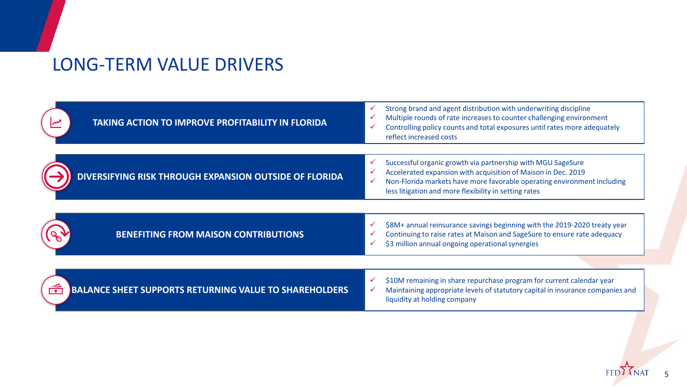### LONG-TERM VALUE DRIVERS

| <b>TAKING ACTION TO IMPROVE PROFITABILITY IN FLORIDA</b>                            | ✓<br>Strong brand and agent distribution with underwriting discipline<br>Multiple rounds of rate increases to counter challenging environment<br>√<br>Controlling policy counts and total exposures until rates more adequately<br>✓<br>reflect increased costs                 |
|-------------------------------------------------------------------------------------|---------------------------------------------------------------------------------------------------------------------------------------------------------------------------------------------------------------------------------------------------------------------------------|
| DIVERSIFYING RISK THROUGH EXPANSION OUTSIDE OF FLORIDA                              | Successful organic growth via partnership with MGU SageSure<br>✓<br>Accelerated expansion with acquisition of Maison in Dec. 2019<br>✓<br>Non-Florida markets have more favorable operating environment including<br>✓<br>less litigation and more flexibility in setting rates |
| <b>BENEFITING FROM MAISON CONTRIBUTIONS</b>                                         | \$8M+ annual reinsurance savings beginning with the 2019-2020 treaty year<br>✓<br>Continuing to raise rates at Maison and SageSure to ensure rate adequacy<br>√<br>\$3 million annual ongoing operational synergies<br>✓                                                        |
| $\widehat{\cdots}$<br><b>BALANCE SHEET SUPPORTS RETURNING VALUE TO SHAREHOLDERS</b> | \$10M remaining in share repurchase program for current calendar year<br>✓<br>Maintaining appropriate levels of statutory capital in insurance companies and<br>$\checkmark$<br>liquidity at holding company                                                                    |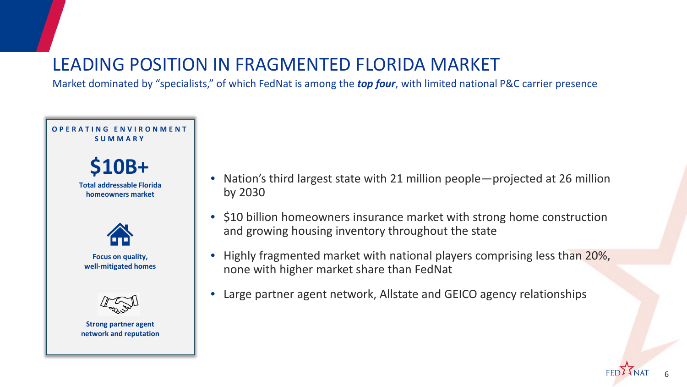### LEADING POSITION IN FRAGMENTED FLORIDA MARKET

Market dominated by "specialists," of which FedNat is among the *top four*, with limited national P&C carrier presence



- Nation's third largest state with 21 million people—projected at 26 million by 2030
- \$10 billion homeowners insurance market with strong home construction and growing housing inventory throughout the state
- Highly fragmented market with national players comprising less than 20%, none with higher market share than FedNat
- Large partner agent network, Allstate and GEICO agency relationships

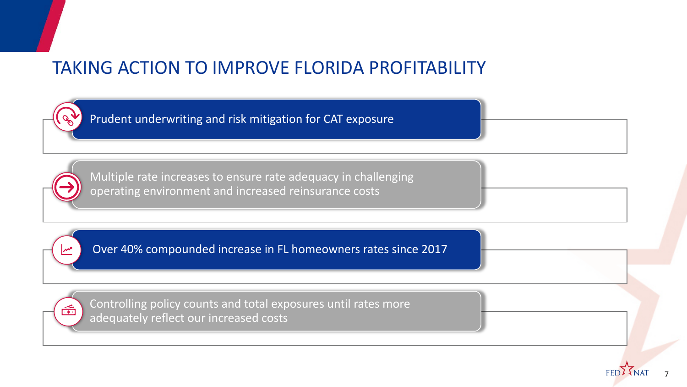### TAKING ACTION TO IMPROVE FLORIDA PROFITABILITY

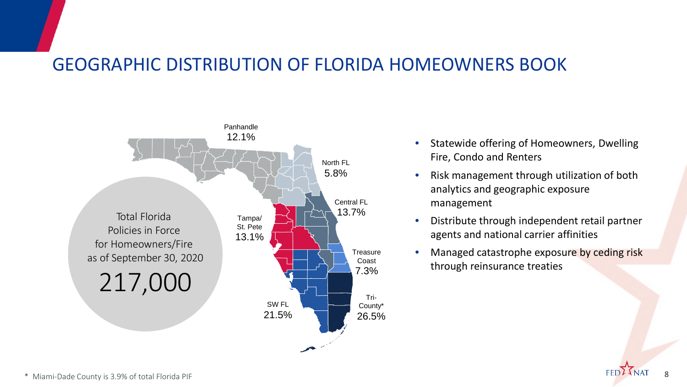### GEOGRAPHIC DISTRIBUTION OF FLORIDA HOMEOWNERS BOOK



- Statewide offering of Homeowners, Dwelling Fire, Condo and Renters
- Risk management through utilization of both analytics and geographic exposure management
- Distribute through independent retail partner agents and national carrier affinities
- Managed catastrophe exposure by ceding risk through reinsurance treaties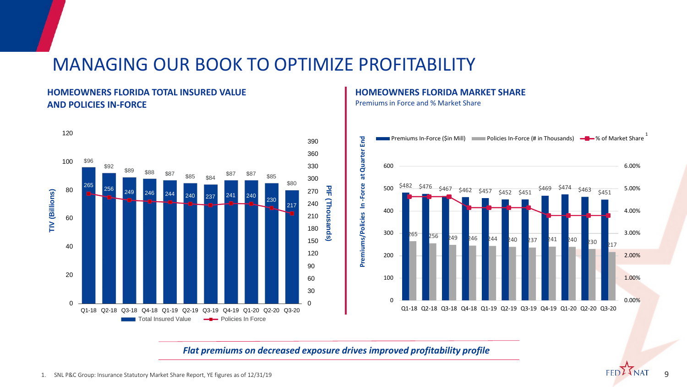### MANAGING OUR BOOK TO OPTIMIZE PROFITABILITY

#### **HOMEOWNERS FLORIDA TOTAL INSURED VALUE AND POLICIES IN-FORCE**



#### **HOMEOWNERS FLORIDA MARKET SHARE**

Premiums in Force and % Market Share



*Flat premiums on decreased exposure drives improved profitability profile*

FED?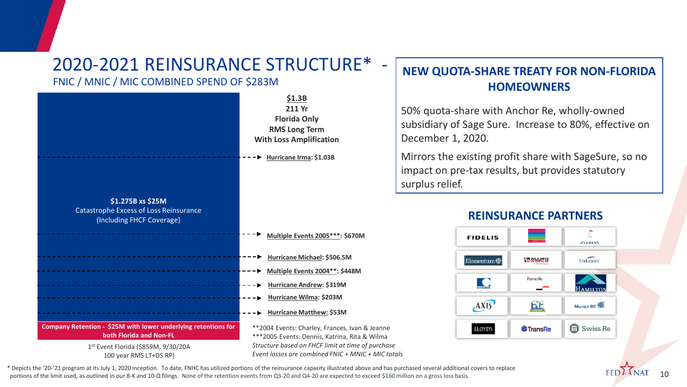### 2020-2021 REINSURANCE STRUCTURE\* -

#### FNIC / MNIC / MIC COMBINED SPEND OF \$283M



#### **NEW QUOTA-SHARE TREATY FOR NON-FLORIDA HOMEOWNERS**

50% quota-share with Anchor Re, wholly-owned subsidiary of Sage Sure. Increase to 80%, effective on December 1, 2020.

Mirrors the existing profit share with SageSure, so no impact on pre-tax results, but provides statutory surplus relief.

#### **REINSURANCE PARTNERS**



\* Depicts the '20-'21 program at its July 1, 2020 inception. To date, FNHC has utilized portions of the reinsurance capacity illustrated above and has purchased several additional covers to replace portions of the limit used, as outlined in our 8-K and 10-Q filings. None of the retention events from Q3-20 and Q4-20 are expected to exceed \$160 million on a gross loss basis.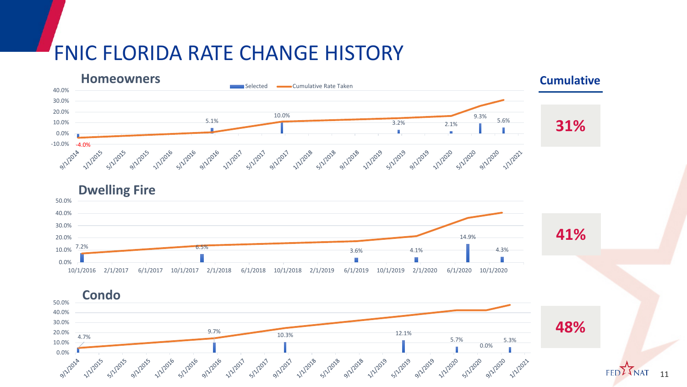### FNIC FLORIDA RATE CHANGE HISTORY





**FED**<sup>2</sup> 11

**48%**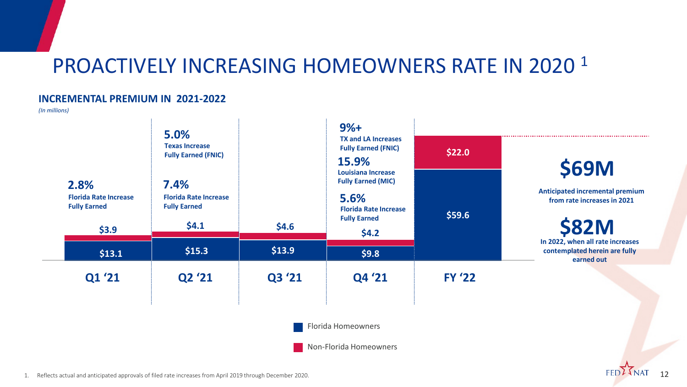### PROACTIVELY INCREASING HOMEOWNERS RATE IN 2020<sup>1</sup>

#### **INCREMENTAL PREMIUM IN 2021-2022**

*(In millions)*



12

FED?

1. Reflects actual and anticipated approvals of filed rate increases from April 2019 through December 2020.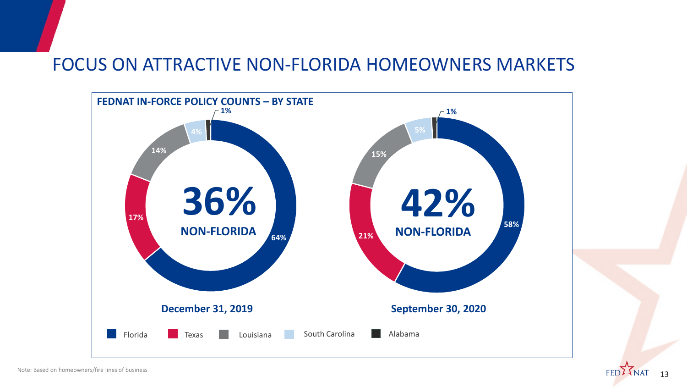### FOCUS ON ATTRACTIVE NON-FLORIDA HOMEOWNERS MARKETS



13

**FED**<sup>2</sup>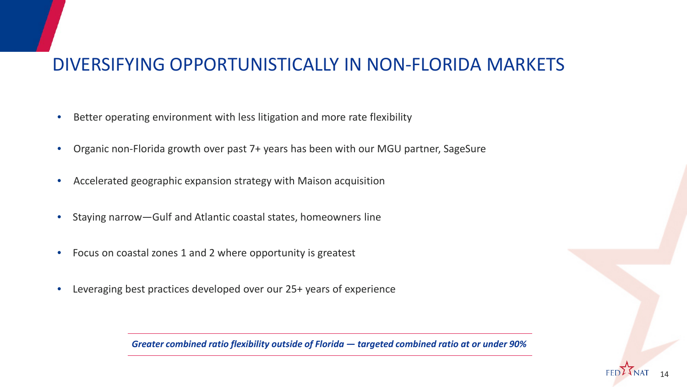### DIVERSIFYING OPPORTUNISTICALLY IN NON-FLORIDA MARKETS

- Better operating environment with less litigation and more rate flexibility
- Organic non-Florida growth over past 7+ years has been with our MGU partner, SageSure
- Accelerated geographic expansion strategy with Maison acquisition
- Staying narrow—Gulf and Atlantic coastal states, homeowners line
- Focus on coastal zones 1 and 2 where opportunity is greatest
- Leveraging best practices developed over our 25+ years of experience

*Greater combined ratio flexibility outside of Florida — targeted combined ratio at or under 90%*

14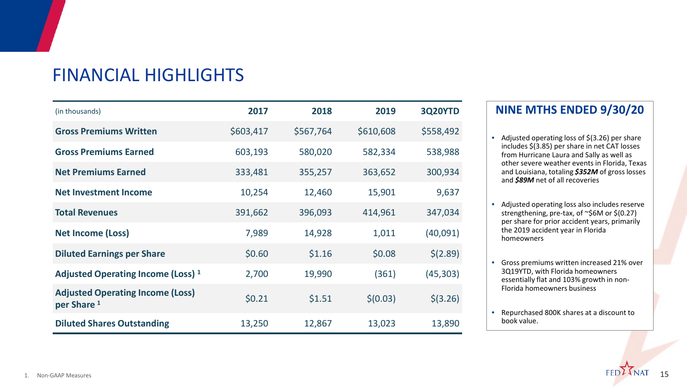| <b>FINANCIAL HIGHLIGHTS</b> |  |
|-----------------------------|--|
|-----------------------------|--|

| (in thousands)                                                    | 2017      | 2018      | 2019      | <b>3Q20YTD</b> |
|-------------------------------------------------------------------|-----------|-----------|-----------|----------------|
| <b>Gross Premiums Written</b>                                     | \$603,417 | \$567,764 | \$610,608 | \$558,492      |
| <b>Gross Premiums Earned</b>                                      | 603,193   | 580,020   | 582,334   | 538,988        |
| <b>Net Premiums Earned</b>                                        | 333,481   | 355,257   | 363,652   | 300,934        |
| <b>Net Investment Income</b>                                      | 10,254    | 12,460    | 15,901    | 9,637          |
| <b>Total Revenues</b>                                             | 391,662   | 396,093   | 414,961   | 347,034        |
| <b>Net Income (Loss)</b>                                          | 7,989     | 14,928    | 1,011     | (40,091)       |
| <b>Diluted Earnings per Share</b>                                 | \$0.60    | \$1.16    | \$0.08    | \$(2.89)       |
| Adjusted Operating Income (Loss) <sup>1</sup>                     | 2,700     | 19,990    | (361)     | (45, 303)      |
| <b>Adjusted Operating Income (Loss)</b><br>per Share <sup>1</sup> | \$0.21    | \$1.51    | \$(0.03)  | $$$ (3.26)     |
| <b>Diluted Shares Outstanding</b>                                 | 13,250    | 12,867    | 13,023    | 13,890         |

#### **NINE MTHS ENDED 9/30/20**

- Adjusted operating loss of \$(3.26) per share includes \$(3.85) per share in net CAT losses from Hurricane Laura and Sally as well as other severe weather events in Florida, Texas and Louisiana, totaling *\$352M* of gross losses and *\$89M* net of all recoveries
- Adjusted operating loss also includes reserve strengthening, pre-tax, of ~\$6M or \$(0.27) per share for prior accident years, primarily the 2019 accident year in Florida homeowners
- Gross premiums written increased 21% over 3Q19YTD, with Florida homeowners essentially flat and 103% growth in non-Florida homeowners business
- Repurchased 800K shares at a discount to book value.

15

**FED**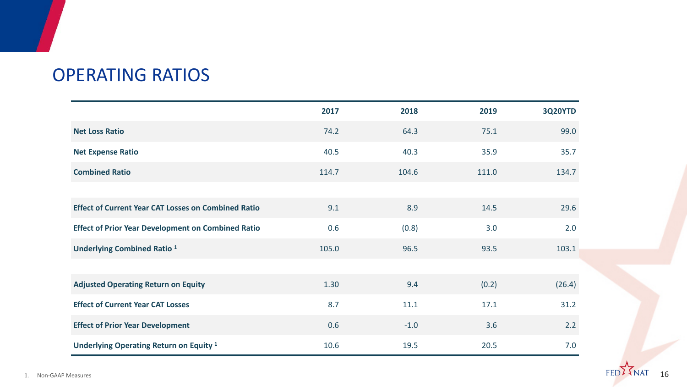### OPERATING RATIOS

|                                                            | 2017  | 2018   | 2019  | <b>3Q20YTD</b> |
|------------------------------------------------------------|-------|--------|-------|----------------|
| <b>Net Loss Ratio</b>                                      | 74.2  | 64.3   | 75.1  | 99.0           |
| <b>Net Expense Ratio</b>                                   | 40.5  | 40.3   | 35.9  | 35.7           |
| <b>Combined Ratio</b>                                      | 114.7 | 104.6  | 111.0 | 134.7          |
|                                                            |       |        |       |                |
| <b>Effect of Current Year CAT Losses on Combined Ratio</b> | 9.1   | 8.9    | 14.5  | 29.6           |
| <b>Effect of Prior Year Development on Combined Ratio</b>  | 0.6   | (0.8)  | 3.0   | 2.0            |
| <b>Underlying Combined Ratio 1</b>                         | 105.0 | 96.5   | 93.5  | 103.1          |
|                                                            |       |        |       |                |
| <b>Adjusted Operating Return on Equity</b>                 | 1.30  | 9.4    | (0.2) | (26.4)         |
| <b>Effect of Current Year CAT Losses</b>                   | 8.7   | 11.1   | 17.1  | 31.2           |
| <b>Effect of Prior Year Development</b>                    | 0.6   | $-1.0$ | 3.6   | 2.2            |
| Underlying Operating Return on Equity <sup>1</sup>         | 10.6  | 19.5   | 20.5  | 7.0            |

1. Non-GAAP Measures  $\text{FED}\,\blacktriangle$  <code>NAI 16</code>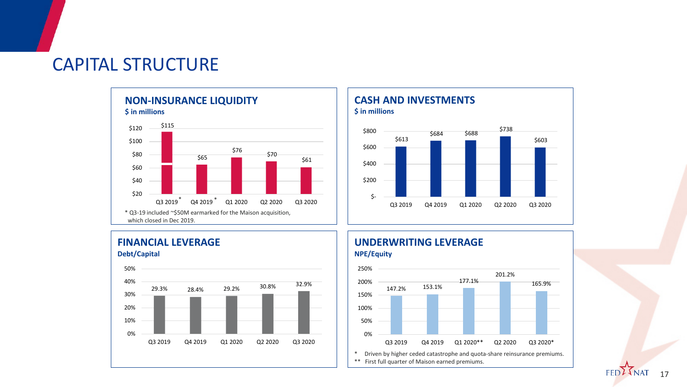### CAPITAL STRUCTURE







#### **FINANCIAL LEVERAGE Debt/Capital**



#### **UNDERWRITING LEVERAGE NPE/Equity**



17

**FED**<sup>2</sup>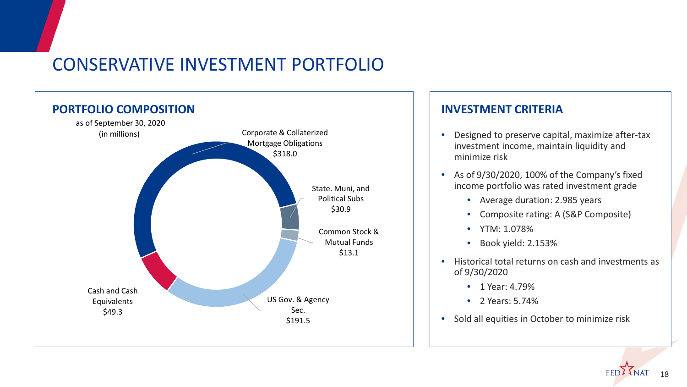### CONSERVATIVE INVESTMENT PORTFOLIO



- Designed to preserve capital, maximize after-tax investment income, maintain liquidity and minimize risk
- As of 9/30/2020, 100% of the Company's fixed income portfolio was rated investment grade
	- Average duration: 2.985 years
	- Composite rating: A (S&P Composite)
	- YTM: 1.078%
	- Book yield: 2.153%
- Historical total returns on cash and investments as of 9/30/2020
	- 1 Year: 4.79%
	- 2 Years: 5.74%
- Sold all equities in October to minimize risk

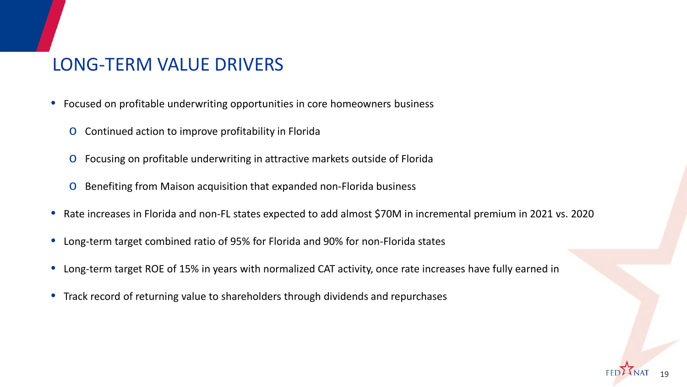### LONG-TERM VALUE DRIVERS

- Focused on profitable underwriting opportunities in core homeowners business
	- o Continued action to improve profitability in Florida
	- o Focusing on profitable underwriting in attractive markets outside of Florida
	- o Benefiting from Maison acquisition that expanded non-Florida business
- Rate increases in Florida and non-FL states expected to add almost \$70M in incremental premium in 2021 vs. 2020
- Long-term target combined ratio of 95% for Florida and 90% for non-Florida states
- Long-term target ROE of 15% in years with normalized CAT activity, once rate increases have fully earned in
- Track record of returning value to shareholders through dividends and repurchases